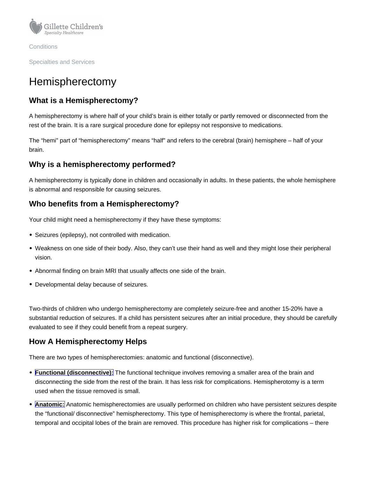

**Conditions** 

Specialties and Services

# Hemispherectomy

# **What is a Hemispherectomy?**

A hemispherectomy is where half of your child's brain is either totally or partly removed or disconnected from the rest of the brain. It is a rare surgical procedure done for epilepsy not responsive to medications.

The "hemi" part of "hemispherectomy" means "half" and refers to the cerebral (brain) hemisphere – half of your brain.

### **Why is a hemispherectomy performed?**

A hemispherectomy is typically done in children and occasionally in adults. In these patients, the whole hemisphere is abnormal and responsible for causing seizures.

# **Who benefits from a Hemispherectomy?**

Your child might need a hemispherectomy if they have these symptoms:

- Seizures (epilepsy), not controlled with medication.
- Weakness on one side of their body. Also, they can't use their hand as well and they might lose their peripheral vision.
- Abnormal finding on brain MRI that usually affects one side of the brain.
- Developmental delay because of seizures.

Two-thirds of children who undergo hemispherectomy are completely seizure-free and another 15-20% have a substantial reduction of seizures. If a child has persistent seizures after an initial procedure, they should be carefully evaluated to see if they could benefit from a repeat surgery.

### **How A Hemispherectomy Helps**

There are two types of hemispherectomies: anatomic and functional (disconnective).

- **Functional (disconnective):** The functional technique involves removing a smaller area of the brain and disconnecting the side from the rest of the brain. It has less risk for complications. Hemispherotomy is a term used when the tissue removed is small.
- **Anatomic:** Anatomic hemispherectomies are usually performed on children who have persistent seizures despite the "functional/ disconnective" hemispherectomy. This type of hemispherectomy is where the frontal, parietal, temporal and occipital lobes of the brain are removed. This procedure has higher risk for complications – there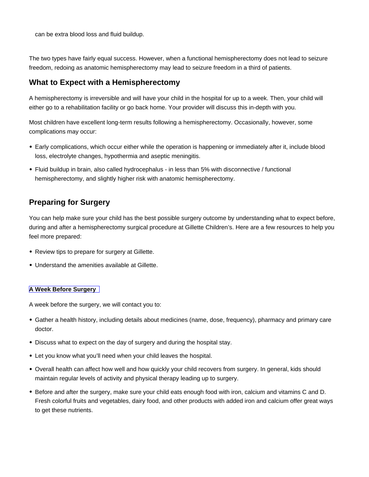can be extra blood loss and fluid buildup.

The two types have fairly equal success. However, when a functional hemispherectomy does not lead to seizure freedom, redoing as anatomic hemispherectomy may lead to seizure freedom in a third of patients.

#### **What to Expect with a Hemispherectomy**

A hemispherectomy is irreversible and will have your child in the hospital for up to a week. Then, your child will either go to a rehabilitation facility or go back home. Your provider will discuss this in-depth with you.

Most children have excellent long-term results following a hemispherectomy. Occasionally, however, some complications may occur:

- Early complications, which occur either while the operation is happening or immediately after it, include blood loss, electrolyte changes, hypothermia and aseptic meningitis.
- Fluid buildup in brain, also called hydrocephalus in less than 5% with disconnective / functional hemispherectomy, and slightly higher risk with anatomic hemispherectomy.

### **Preparing for Surgery**

You can help make sure your child has the best possible surgery outcome by understanding what to expect before, during and after a hemispherectomy surgical procedure at Gillette Children's. Here are a few resources to help you feel more prepared:

- Review tips to prepare for surgery at Gillette.
- Understand the amenities available at Gillette.

#### **A Week Before Surgery**

A week before the surgery, we will contact you to:

- Gather a health history, including details about medicines (name, dose, frequency), pharmacy and primary care doctor.
- Discuss what to expect on the day of surgery and during the hospital stay.
- Let you know what you'll need when your child leaves the hospital.
- Overall health can affect how well and how quickly your child recovers from surgery. In general, kids should maintain regular levels of activity and physical therapy leading up to surgery.
- Before and after the surgery, make sure your child eats enough food with iron, calcium and vitamins C and D. Fresh colorful fruits and vegetables, dairy food, and other products with added iron and calcium offer great ways to get these nutrients.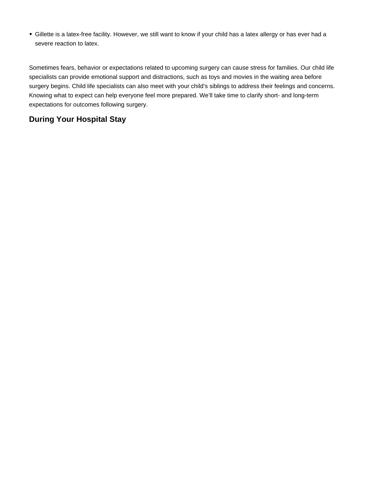Gillette is a latex-free facility. However, we still want to know if your child has a latex allergy or has ever had a severe reaction to latex.

Sometimes fears, behavior or expectations related to upcoming surgery can cause stress for families. Our child life specialists can provide emotional support and distractions, such as toys and movies in the waiting area before surgery begins. Child life specialists can also meet with your child's siblings to address their feelings and concerns. Knowing what to expect can help everyone feel more prepared. We'll take time to clarify short- and long-term expectations for outcomes following surgery.

# **During Your Hospital Stay**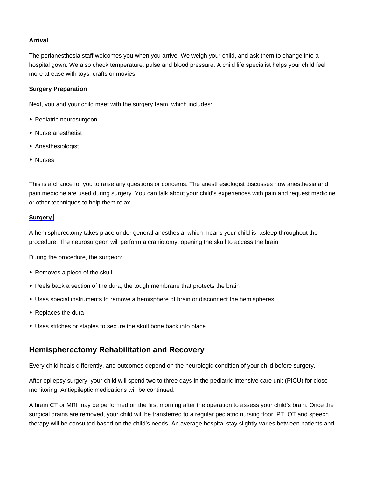#### **Arrival**

The perianesthesia staff welcomes you when you arrive. We weigh your child, and ask them to change into a hospital gown. We also check temperature, pulse and blood pressure. A child life specialist helps your child feel more at ease with toys, crafts or movies.

#### **Surgery Preparation**

Next, you and your child meet with the surgery team, which includes:

- Pediatric neurosurgeon
- Nurse anesthetist
- Anesthesiologist
- Nurses

This is a chance for you to raise any questions or concerns. The anesthesiologist discusses how anesthesia and pain medicine are used during surgery. You can talk about your child's experiences with pain and request medicine or other techniques to help them relax.

#### **Surgery**

A hemispherectomy takes place under general anesthesia, which means your child is asleep throughout the procedure. The neurosurgeon will perform a craniotomy, opening the skull to access the brain.

During the procedure, the surgeon:

- Removes a piece of the skull
- Peels back a section of the dura, the tough membrane that protects the brain
- Uses special instruments to remove a hemisphere of brain or disconnect the hemispheres
- Replaces the dura
- Uses stitches or staples to secure the skull bone back into place

#### **Hemispherectomy Rehabilitation and Recovery**

Every child heals differently, and outcomes depend on the neurologic condition of your child before surgery.

After epilepsy surgery, your child will spend two to three days in the pediatric intensive care unit (PICU) for close monitoring. Antiepileptic medications will be continued.

A brain CT or MRI may be performed on the first morning after the operation to assess your child's brain. Once the surgical drains are removed, your child will be transferred to a regular pediatric nursing floor. PT, OT and speech therapy will be consulted based on the child's needs. An average hospital stay slightly varies between patients and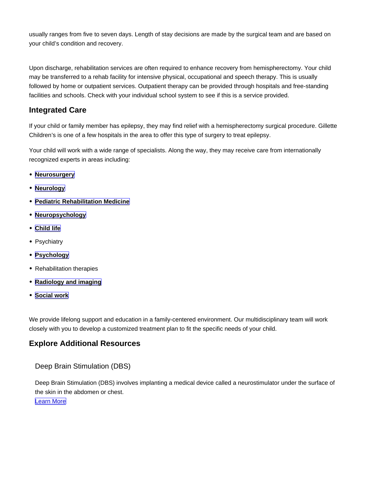usually ranges from five to seven days. Length of stay decisions are made by the surgical team and are based on your child's condition and recovery.

Upon discharge, rehabilitation services are often required to enhance recovery from hemispherectomy. Your child may be transferred to a rehab facility for intensive physical, occupational and speech therapy. This is usually followed by home or outpatient services. Outpatient therapy can be provided through hospitals and free-standing facilities and schools. Check with your individual school system to see if this is a service provided.

### Integrated Care

If your child or family member has epilepsy, they may find relief with a hemispherectomy surgical procedure. Gillette Children's is one of a few hospitals in the area to offer this type of surgery to treat epilepsy.

Your child will work with a wide range of specialists. Along the way, they may receive care from internationally recognized experts in areas including:

- [Neurosurgery](https://www.gillettechildrens.org/conditions-care/neurosurgery)
- **[Neurology](https://www.gillettechildrens.org/conditions-care/neurology)**
- **[Pediatric Rehabilitation Medicine](https://www.gillettechildrens.org/conditions-care/rehabilitation-services)**
- **[Neuropsychology](https://www.gillettechildrens.org/conditions-care/neuropsychology)**
- [Child life](https://www.gillettechildrens.org/conditions-care/child-life)
- Psychiatry
- [Psychology](https://www.gillettechildrens.org/conditions-care/psychology)
- Rehabilitation therapies
- [Radiology and imaging](https://www.gillettechildrens.org/conditions-care/radiology-and-imaging)
- [Social work](https://www.gillettechildrens.org/conditions-care/social-work)

We provide lifelong support and education in a family-centered environment. Our multidisciplinary team will work closely with you to develop a customized treatment plan to fit the specific needs of your child.

#### Explore Additional Resources

Deep Brain Stimulation (DBS)

Deep Brain Stimulation (DBS) involves implanting a medical device called a neurostimulator under the surface of the skin in the abdomen or chest.

[Learn More](https://www.gillettechildrens.org/conditions-care/deep-brain-stimulation-dbs)